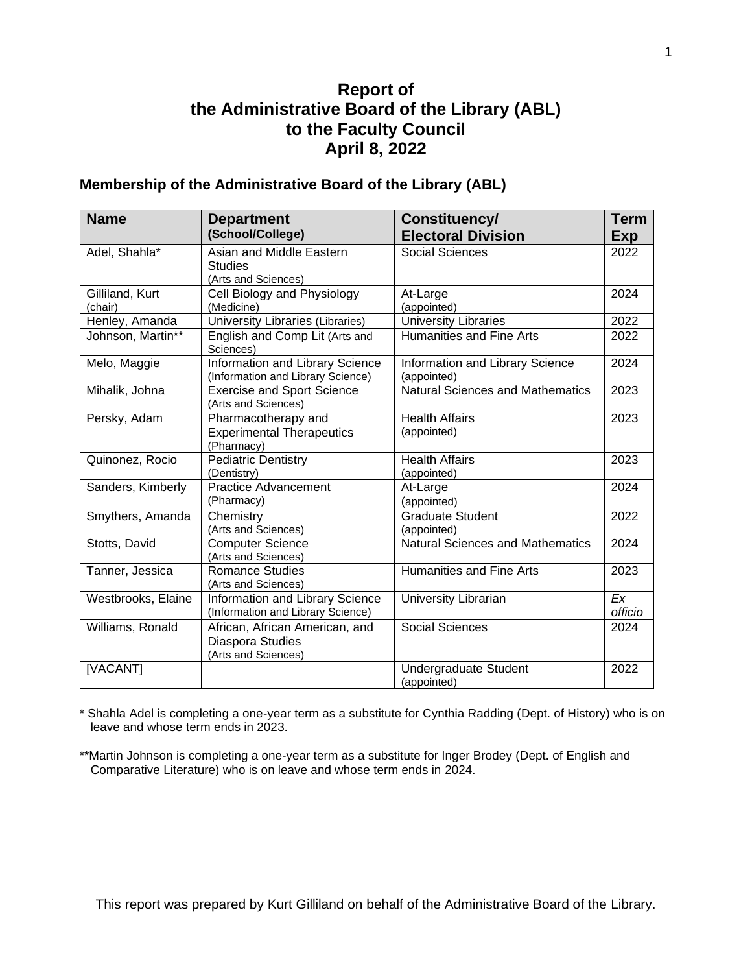## **Report of the Administrative Board of the Library (ABL) to the Faculty Council April 8, 2022**

#### **Membership of the Administrative Board of the Library (ABL)**

| <b>Name</b>                | <b>Department</b>                                                         | Constituency/                                  | <b>Term</b>   |
|----------------------------|---------------------------------------------------------------------------|------------------------------------------------|---------------|
|                            | (School/College)                                                          | <b>Electoral Division</b>                      | Exp           |
| Adel, Shahla*              | Asian and Middle Eastern<br><b>Studies</b><br>(Arts and Sciences)         | <b>Social Sciences</b>                         | 2022          |
| Gilliland, Kurt<br>(chair) | Cell Biology and Physiology<br>(Medicine)                                 | At-Large<br>(appointed)                        | 2024          |
| Henley, Amanda             | University Libraries (Libraries)                                          | <b>University Libraries</b>                    | 2022          |
| Johnson, Martin**          | English and Comp Lit (Arts and<br>Sciences)                               | <b>Humanities and Fine Arts</b>                | 2022          |
| Melo, Maggie               | Information and Library Science<br>(Information and Library Science)      | Information and Library Science<br>(appointed) | 2024          |
| Mihalik, Johna             | <b>Exercise and Sport Science</b><br>(Arts and Sciences)                  | <b>Natural Sciences and Mathematics</b>        | 2023          |
| Persky, Adam               | Pharmacotherapy and<br><b>Experimental Therapeutics</b><br>(Pharmacy)     | <b>Health Affairs</b><br>(appointed)           | 2023          |
| Quinonez, Rocio            | <b>Pediatric Dentistry</b><br>(Dentistry)                                 | <b>Health Affairs</b><br>(appointed)           | 2023          |
| Sanders, Kimberly          | <b>Practice Advancement</b><br>(Pharmacy)                                 | At-Large<br>(appointed)                        | 2024          |
| Smythers, Amanda           | Chemistry<br>(Arts and Sciences)                                          | <b>Graduate Student</b><br>(appointed)         | 2022          |
| Stotts, David              | <b>Computer Science</b><br>(Arts and Sciences)                            | <b>Natural Sciences and Mathematics</b>        | 2024          |
| Tanner, Jessica            | <b>Romance Studies</b><br>(Arts and Sciences)                             | <b>Humanities and Fine Arts</b>                | 2023          |
| Westbrooks, Elaine         | Information and Library Science<br>(Information and Library Science)      | University Librarian                           | Ex<br>officio |
| Williams, Ronald           | African, African American, and<br>Diaspora Studies<br>(Arts and Sciences) | <b>Social Sciences</b>                         | 2024          |
| [VACANT]                   |                                                                           | Undergraduate Student<br>(appointed)           | 2022          |

\* Shahla Adel is completing a one-year term as a substitute for Cynthia Radding (Dept. of History) who is on leave and whose term ends in 2023.

\*\*Martin Johnson is completing a one-year term as a substitute for Inger Brodey (Dept. of English and Comparative Literature) who is on leave and whose term ends in 2024.

This report was prepared by Kurt Gilliland on behalf of the Administrative Board of the Library.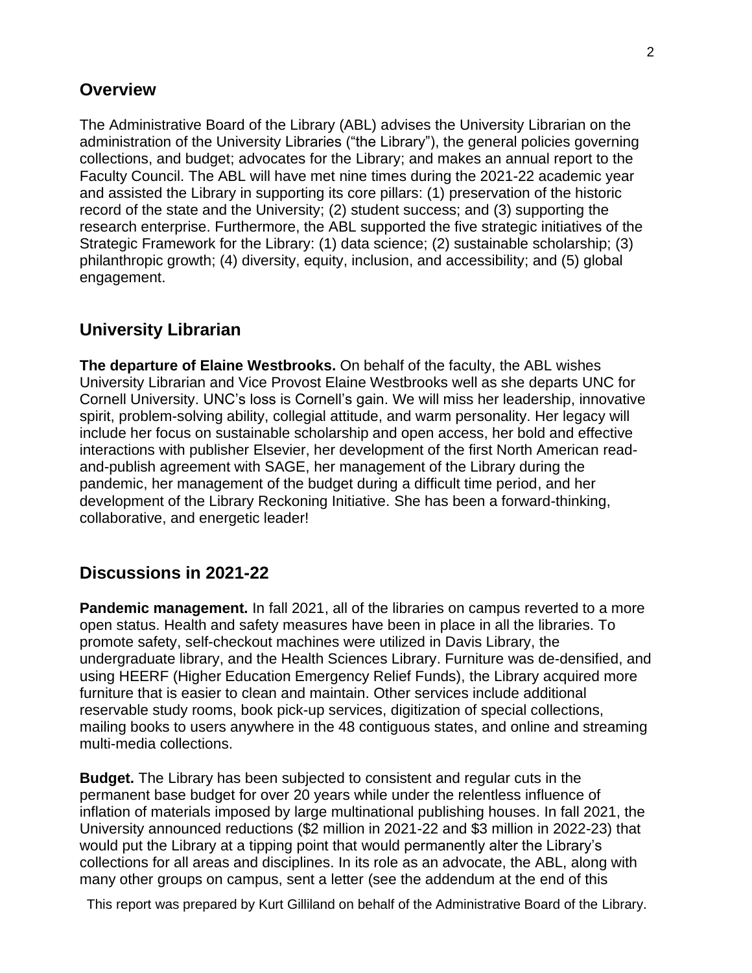### **Overview**

The Administrative Board of the Library (ABL) advises the University Librarian on the administration of the University Libraries ("the Library"), the general policies governing collections, and budget; advocates for the Library; and makes an annual report to the Faculty Council. The ABL will have met nine times during the 2021-22 academic year and assisted the Library in supporting its core pillars: (1) preservation of the historic record of the state and the University; (2) student success; and (3) supporting the research enterprise. Furthermore, the ABL supported the five strategic initiatives of the Strategic Framework for the Library: (1) data science; (2) sustainable scholarship; (3) philanthropic growth; (4) diversity, equity, inclusion, and accessibility; and (5) global engagement.

# **University Librarian**

**The departure of Elaine Westbrooks.** On behalf of the faculty, the ABL wishes University Librarian and Vice Provost Elaine Westbrooks well as she departs UNC for Cornell University. UNC's loss is Cornell's gain. We will miss her leadership, innovative spirit, problem-solving ability, collegial attitude, and warm personality. Her legacy will include her focus on sustainable scholarship and open access, her bold and effective interactions with publisher Elsevier, her development of the first North American readand-publish agreement with SAGE, her management of the Library during the pandemic, her management of the budget during a difficult time period, and her development of the Library Reckoning Initiative. She has been a forward-thinking, collaborative, and energetic leader!

## **Discussions in 2021-22**

**Pandemic management.** In fall 2021, all of the libraries on campus reverted to a more open status. Health and safety measures have been in place in all the libraries. To promote safety, self-checkout machines were utilized in Davis Library, the undergraduate library, and the Health Sciences Library. Furniture was de-densified, and using HEERF (Higher Education Emergency Relief Funds), the Library acquired more furniture that is easier to clean and maintain. Other services include additional reservable study rooms, book pick-up services, digitization of special collections, mailing books to users anywhere in the 48 contiguous states, and online and streaming multi-media collections.

**Budget.** The Library has been subjected to consistent and regular cuts in the permanent base budget for over 20 years while under the relentless influence of inflation of materials imposed by large multinational publishing houses. In fall 2021, the University announced reductions (\$2 million in 2021-22 and \$3 million in 2022-23) that would put the Library at a tipping point that would permanently alter the Library's collections for all areas and disciplines. In its role as an advocate, the ABL, along with many other groups on campus, sent a letter (see the addendum at the end of this

This report was prepared by Kurt Gilliland on behalf of the Administrative Board of the Library.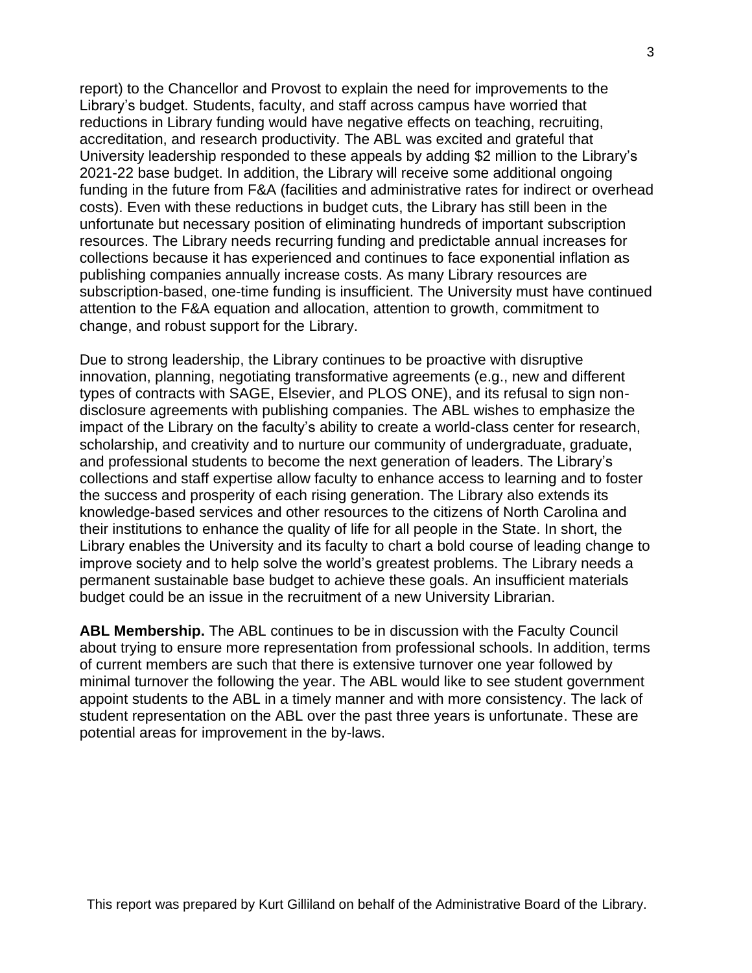report) to the Chancellor and Provost to explain the need for improvements to the Library's budget. Students, faculty, and staff across campus have worried that reductions in Library funding would have negative effects on teaching, recruiting, accreditation, and research productivity. The ABL was excited and grateful that University leadership responded to these appeals by adding \$2 million to the Library's 2021-22 base budget. In addition, the Library will receive some additional ongoing funding in the future from F&A (facilities and administrative rates for indirect or overhead costs). Even with these reductions in budget cuts, the Library has still been in the unfortunate but necessary position of eliminating hundreds of important subscription resources. The Library needs recurring funding and predictable annual increases for collections because it has experienced and continues to face exponential inflation as publishing companies annually increase costs. As many Library resources are subscription-based, one-time funding is insufficient. The University must have continued attention to the F&A equation and allocation, attention to growth, commitment to change, and robust support for the Library.

Due to strong leadership, the Library continues to be proactive with disruptive innovation, planning, negotiating transformative agreements (e.g., new and different types of contracts with SAGE, Elsevier, and PLOS ONE), and its refusal to sign nondisclosure agreements with publishing companies. The ABL wishes to emphasize the impact of the Library on the faculty's ability to create a world-class center for research, scholarship, and creativity and to nurture our community of undergraduate, graduate, and professional students to become the next generation of leaders. The Library's collections and staff expertise allow faculty to enhance access to learning and to foster the success and prosperity of each rising generation. The Library also extends its knowledge-based services and other resources to the citizens of North Carolina and their institutions to enhance the quality of life for all people in the State. In short, the Library enables the University and its faculty to chart a bold course of leading change to improve society and to help solve the world's greatest problems. The Library needs a permanent sustainable base budget to achieve these goals. An insufficient materials budget could be an issue in the recruitment of a new University Librarian.

**ABL Membership.** The ABL continues to be in discussion with the Faculty Council about trying to ensure more representation from professional schools. In addition, terms of current members are such that there is extensive turnover one year followed by minimal turnover the following the year. The ABL would like to see student government appoint students to the ABL in a timely manner and with more consistency. The lack of student representation on the ABL over the past three years is unfortunate. These are potential areas for improvement in the by-laws.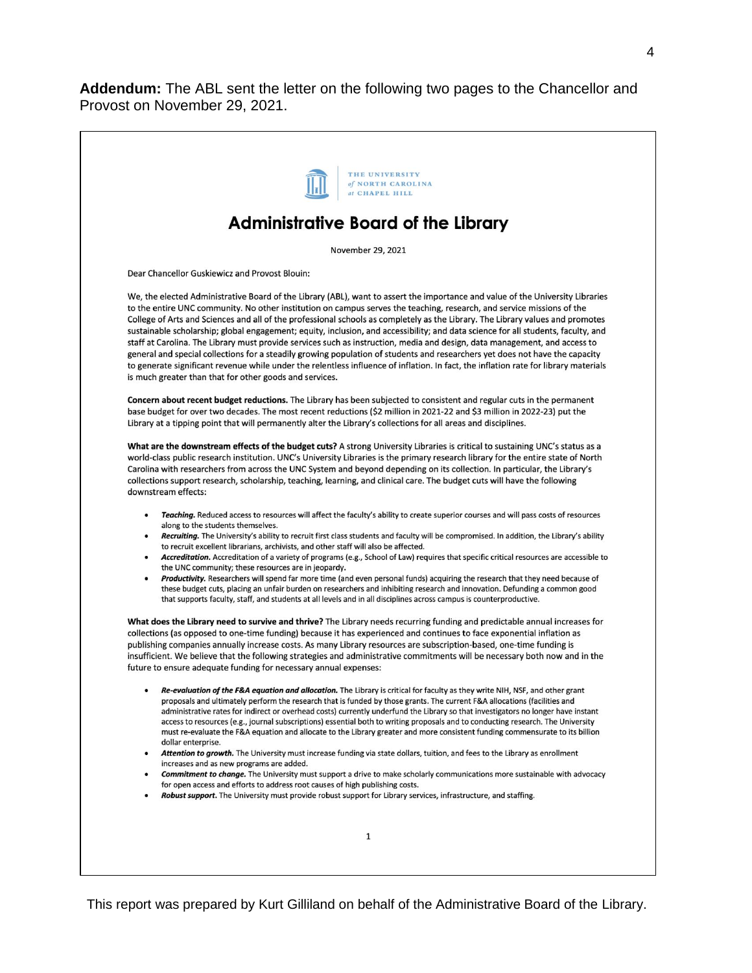**Addendum:** The ABL sent the letter on the following two pages to the Chancellor and Provost on November 29, 2021.



This report was prepared by Kurt Gilliland on behalf of the Administrative Board of the Library.